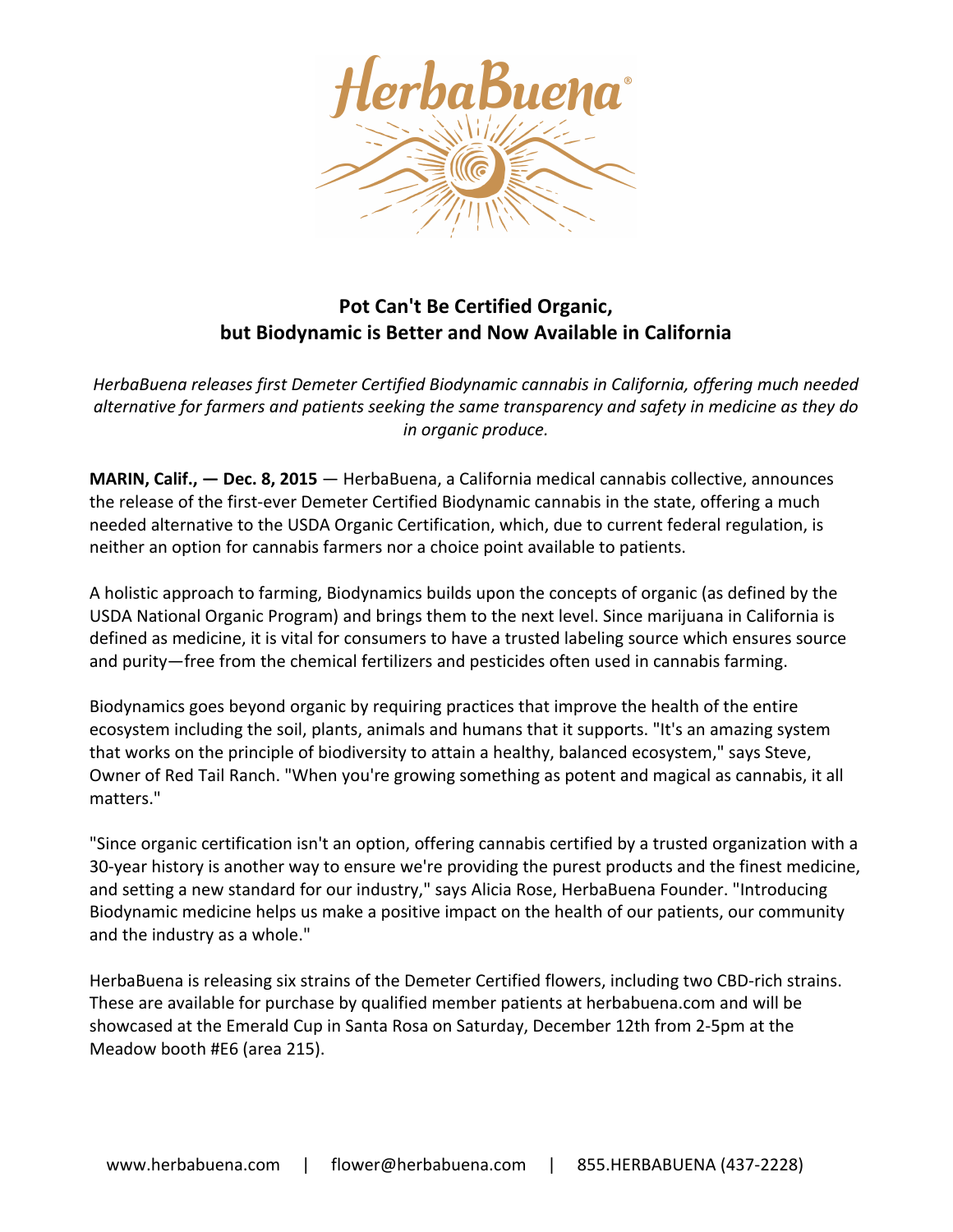

## **Pot Can't Be Certified Organic, but Biodynamic is Better and Now Available in California**

HerbaBuena *releases first Demeter Certified Biodynamic cannabis in California, offering much needed alternative for farmers and patients seeking the same transparency and safety in medicine as they do in organic produce.*

**MARIN, Calif., - Dec. 8, 2015** - HerbaBuena, a California medical cannabis collective, announces the release of the first-ever Demeter Certified Biodynamic cannabis in the state, offering a much needed alternative to the USDA Organic Certification, which, due to current federal regulation, is neither an option for cannabis farmers nor a choice point available to patients.

A holistic approach to farming, Biodynamics builds upon the concepts of organic (as defined by the USDA National Organic Program) and brings them to the next level. Since marijuana in California is defined as medicine, it is vital for consumers to have a trusted labeling source which ensures source and purity—free from the chemical fertilizers and pesticides often used in cannabis farming.

Biodynamics goes beyond organic by requiring practices that improve the health of the entire ecosystem including the soil, plants, animals and humans that it supports. "It's an amazing system that works on the principle of biodiversity to attain a healthy, balanced ecosystem," says Steve, Owner of Red Tail Ranch. "When you're growing something as potent and magical as cannabis, it all matters."

"Since organic certification isn't an option, offering cannabis certified by a trusted organization with a 30-year history is another way to ensure we're providing the purest products and the finest medicine, and setting a new standard for our industry," says Alicia Rose, HerbaBuena Founder. "Introducing Biodynamic medicine helps us make a positive impact on the health of our patients, our community and the industry as a whole."

HerbaBuena is releasing six strains of the Demeter Certified flowers, including two CBD-rich strains. These are available for purchase by qualified member patients at herbabuena.com and will be showcased at the Emerald Cup in Santa Rosa on Saturday, December 12th from 2-5pm at the Meadow booth #E6 (area 215).